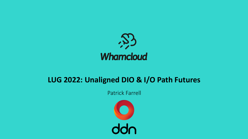

### **LUG 2022: Unaligned DIO & I/O Path Futures**

Patrick Farrell

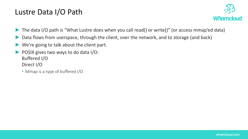#### Lustre Data I/O Path



- The data I/O path is "What Lustre does when you call read() or write()" (or access mmap'ed data)
- Data flows from userspace, through the client, over the network, and to storage (and back)
- We're going to talk about the client part.
- ► POSIX gives two ways to do data I/O: Buffered I/O Direct I/O
	- Mmap is a type of buffered I/O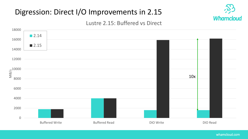# Digression: Direct I/O Improvements in 2.15



#### Lustre 2.15: Buffered vs Direct

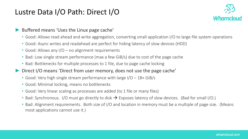#### Lustre Data I/O Path: Direct I/O



#### Buffered means 'Uses the Linux page cache'

- Good: Allows read ahead and write aggregation, converting small application I/O to large file system operations
- Good: Async writes and readahead are perfect for hiding latency of slow devices (HDD)
- Good: Allows any I/O no alignment requirements
- Bad: Low single stream performance (max a few GiB/s) due to cost of the page cache
- Bad: Bottlenecks for multiple processes to 1 file, due to page cache locking
- Direct I/O means 'Direct from user memory, does not use the page cache'
	- Good: Very high single stream performance with large  $1/O 18 + GiB/s$
	- Good: Minimal locking, means no bottlenecks
	- Good: Very linear scaling as processes are added (to 1 file or many files)
	- Bad: Synchronous. I/O must go directly to disk  $\rightarrow$  Exposes latency of slow devices. (Bad for small I/O.)
	- Bad: Alignment requirements. Both size of I/O and location in memory must be a multiple of page size. (Means most applications cannot use it.)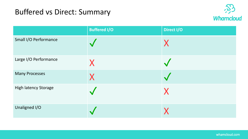## Buffered vs Direct: Summary



|                             | <b>Buffered I/O</b> | Direct I/O |
|-----------------------------|---------------------|------------|
| Small I/O Performance       |                     |            |
| Large I/O Performance       | X                   |            |
| <b>Many Processes</b>       | X                   |            |
| <b>High latency Storage</b> |                     |            |
| Unaligned I/O               |                     |            |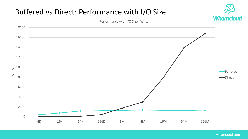# Buffered vs Direct: Performance with I/O Size



Performance with I/O Size: Write

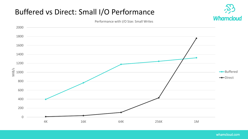# Buffered vs Direct: Small I/O Performance



Performance with I/O Size: Small Writes

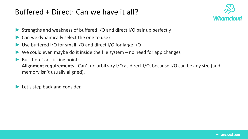### Buffered + Direct: Can we have it all?



- Strengths and weakness of buffered I/O and direct I/O pair up perfectly
- Can we dynamically select the one to use?
- ► Use buffered I/O for small I/O and direct I/O for large I/O
- We could even maybe do it inside the file system  $-$  no need for app changes
- But there's a sticking point: **Alignment requirements.** Can't do arbitrary I/O as direct I/O, because I/O can be any size (and memory isn't usually aligned).

► Let's step back and consider.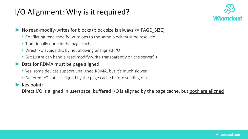# I/O Alignment: Why is it required?



No read-modify-writes for blocks (block size is always  $\leq$  PAGE\_SIZE)

- Conflicting read-modify-write ops to the same block must be resolved
- Traditionally done in the page cache
- Direct I/O avoids this by not allowing unaligned I/O
- But Lustre can handle read-modify-write transparently on the server(!)
- ► Data for RDMA must be page aligned
	- Yes, some devices support unaligned RDMA, but it's much slower.
	- Buffered I/O data is aligned by the page cache before sending out

► Key point:

Direct I/O is aligned in userspace, buffered I/O is aligned by the page cache, but both are aligned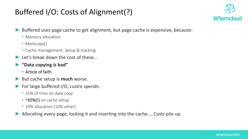# Buffered I/O: Costs of Alignment(?)



- Buffered uses page cache to get alignment, but page cache is expensive, because:
	- Memory allocation
	- Memcopy()
	- Cache management: Setup & tracking
- $\blacktriangleright$  Let's break down the cost of these...
- ► **"Data copying is bad"**
	- Article of faith.
- ► But cache setup is **much** worse.
- ► For large buffered I/O, Lustre spends:
	- 15% of time on data copy
	- ~65%(!) on cache setup
	- 10% allocation (10% other)
- Allocating every page, locking it and inserting into the cache.... Costs pile up.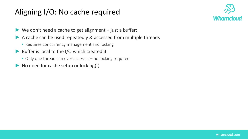# Aligning I/O: No cache required



- $\blacktriangleright$  We don't need a cache to get alignment just a buffer:
- ▶ A cache can be used repeatedly & accessed from multiple threads
	- Requires concurrency management and locking
- ► Buffer is local to the I/O which created it
	- Only one thread can ever access it no locking required
- ► No need for cache setup or locking(!)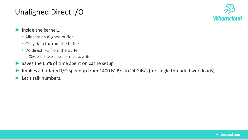# Unaligned Direct I/O



- Inside the kernel...
	- Allocate an aligned buffer
	- Copy data to/from the buffer
	- Do direct I/O from the buffer
		- o (Swap last two steps for read vs write)
- ► Saves the 65% of time spent on cache setup
- Implies a buffered I/O speedup from 1400 MiB/s to ~4 GiB/s (for single threaded workloads)
- Let's talk numbers...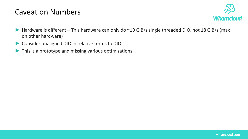#### Caveat on Numbers



- Hardware is different This hardware can only do ~10 GiB/s single threaded DIO, not 18 GiB/s (max on other hardware)
- ▶ Consider unaligned DIO in relative terms to DIO
- This is a prototype and missing various optimizations...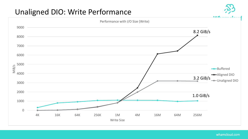### Unaligned DIO: Write Performance

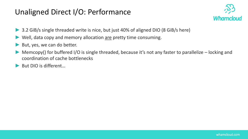### Unaligned Direct I/O: Performance



- 3.2 GiB/s single threaded write is nice, but just 40% of aligned DIO (8 GiB/s here)
- Well, data copy and memory allocation are pretty time consuming.
- But, yes, we can do better.
- Memcopy() for buffered I/O is single threaded, because it's not any faster to parallelize locking and coordination of cache bottlenecks
- ► But DIO is different...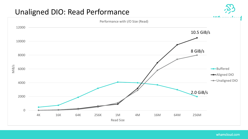### Unaligned DIO: Read Performance

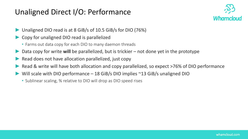### Unaligned Direct I/O: Performance



- Unaligned DIO read is at 8 GiB/s of 10.5 GiB/s for DIO (76%)
- ► Copy for unaligned DIO read is parallelized
	- Farms out data copy for each DIO to many daemon threads
- Data copy for write **will** be parallelized, but is trickier not done yet in the prototype
- Read does not have allocation parallelized, just copy
- Read & write will have both allocation and copy parallelized, so expect >76% of DIO performance
- Will scale with DIO performance 18 GiB/s DIO implies  $\sim$ 13 GiB/s unaligned DIO
	- Sublinear scaling, % relative to DIO will drop as DIO speed rises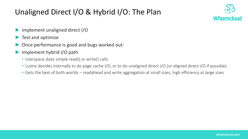# Unaligned Direct I/O & Hybrid I/O: The Plan



- Implement unaligned direct I/O
- Test and optimize
- Once performance is good and bugs worked out:
- Implement hybrid I/O path
	- Userspace does simple read() or write() calls
	- Lustre decides internally to do page cache I/O, or to do unaligned direct I/O (or aligned direct I/O if possible)
	- Gets the best of both worlds readahead and write aggregation at small sizes, high efficiency at large sizes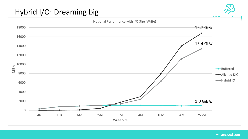# Hybrid I/O: Dreaming big

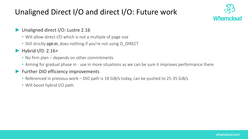# Unaligned Direct I/O and direct I/O: Future work



#### Unaligned direct I/O: Lustre 2.16

- Will allow direct I/O which is not a multiple of page size
- Still strictly opt-in, does nothing if you're not using O\_DIRECT
- ► Hybrid I/O: 2.16+
	- No firm plan depends on other commitments
	- Aiming for gradual phase in use in more situations as we can be sure it improves performance there

#### ► Further DIO efficiency improvements

- Referenced in previous work DIO path is 18 GiB/s today, can be pushed to 25-35 GiB/s
- Will boost hybrid I/O path